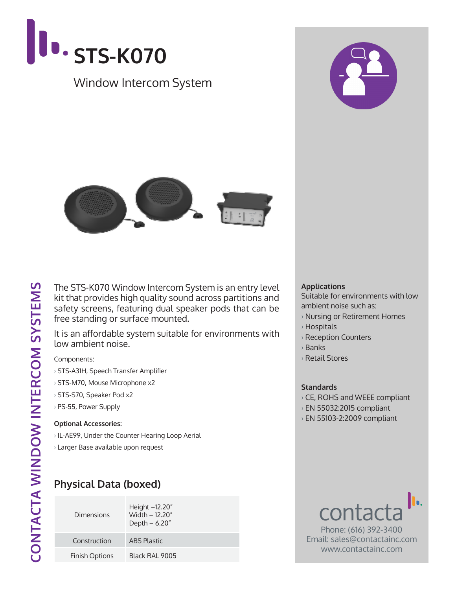



It is an affordable system suitable for environments with low ambient noise.

Components:

- › STS-A31H, Speech Transfer Amplifier
- › STS-M70, Mouse Microphone x2
- › STS-S70, Speaker Pod x2
- › PS-55, Power Supply

#### **Optional Accessories:**

- › IL-AE99, Under the Counter Hearing Loop Aerial
- › Larger Base available upon request

## **Physical Data (boxed)**

| Dimensions            | Height -12.20"<br>Width - 12.20"<br>Depth $-6.20"$ |
|-----------------------|----------------------------------------------------|
| Construction          | <b>ABS Plastic</b>                                 |
| <b>Finish Options</b> | Black RAI 9005                                     |

#### **Applications**

Suitable for environments with low ambient noise such as:

- › Nursing or Retirement Homes
- › Hospitals
- › Reception Counters
- › Banks
- › Retail Stores

### **Standards**

- › CE, ROHS and WEEE compliant
- › EN 55032:2015 compliant
- › EN 55103-2:2009 compliant